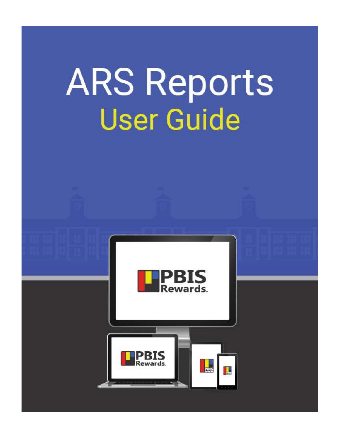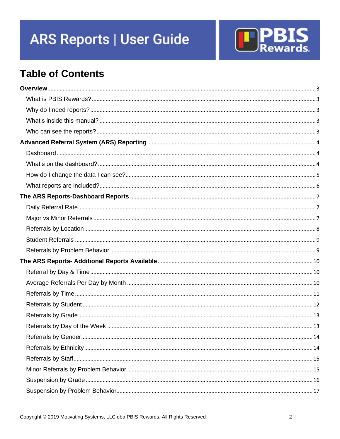

# **Table of Contents**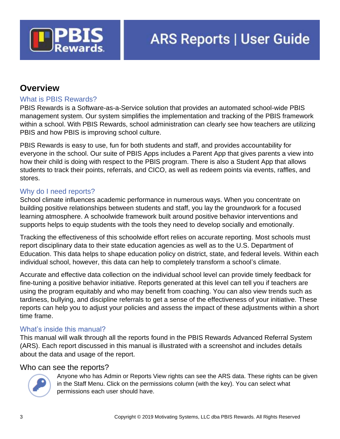

# <span id="page-2-0"></span>**Overview**

### <span id="page-2-1"></span>What is PBIS Rewards?

PBIS Rewards is a Software-as-a-Service solution that provides an automated school-wide PBIS management system. Our system simplifies the implementation and tracking of the PBIS framework within a school. With PBIS Rewards, school administration can clearly see how teachers are utilizing PBIS and how PBIS is improving school culture.

PBIS Rewards is easy to use, fun for both students and staff, and provides accountability for everyone in the school. Our suite of PBIS Apps includes a Parent App that gives parents a view into how their child is doing with respect to the PBIS program. There is also a Student App that allows students to track their points, referrals, and CICO, as well as redeem points via events, raffles, and stores.

### <span id="page-2-2"></span>Why do I need reports?

School climate influences academic performance in numerous ways. When you concentrate on building positive relationships between students and staff, you lay the groundwork for a focused learning atmosphere. A schoolwide framework built around positive behavior interventions and supports helps to equip students with the tools they need to develop socially and emotionally.

Tracking the effectiveness of this schoolwide effort relies on accurate reporting. Most schools must report disciplinary data to their state education agencies as well as to the U.S. Department of Education. This data helps to shape education policy on district, state, and federal levels. Within each individual school, however, this data can help to completely transform a school's climate.

Accurate and effective data collection on the individual school level can provide timely feedback for fine-tuning a positive behavior initiative. Reports generated at this level can tell you if teachers are using the program equitably and who may benefit from coaching. You can also view trends such as tardiness, bullying, and discipline referrals to get a sense of the effectiveness of your initiative. These reports can help you to adjust your policies and assess the impact of these adjustments within a short time frame.

### <span id="page-2-3"></span>What's inside this manual?

This manual will walk through all the reports found in the PBIS Rewards Advanced Referral System (ARS). Each report discussed in this manual is illustrated with a screenshot and includes details about the data and usage of the report.

#### <span id="page-2-4"></span>Who can see the reports?



Anyone who has Admin or Reports View rights can see the ARS data. These rights can be given in the Staff Menu. Click on the permissions column (with the key). You can select what permissions each user should have.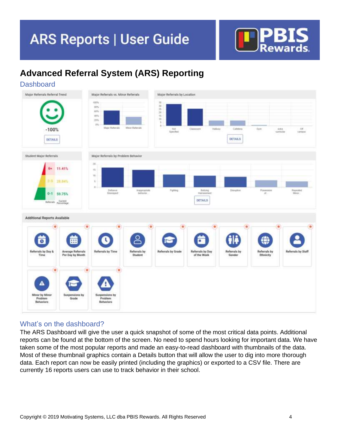

# <span id="page-3-0"></span>**Advanced Referral System (ARS) Reporting**

<span id="page-3-1"></span>**Dashboard** Major Referrals Referral Trend Major Referrals vs. Minor Referrals Major Referrals by Location 1031 in uri in)  $20%$  $\dot{m}\dot{n}$  $-100%$  $rac{C\theta}{C4P400}$ **DETAILS DETAILS** Major Referrals by Problem Behavior Student Major Referrals **SO** 11.41% Y)  $^{18}$ 28.84% Defamio Belong Tegesik<br>Miroz  $0 - 1$ 59.75% **DETAILS** Current<br>Percentaire **Additional Reports Available** ౭ 16 υ Ŧ €  $\overline{\mathbf{o}}$ 丽 Referrals by Day &<br>Time **Average Referrals**<br>Per Day by Month **Referrals by Time** Referrals by<br>Student **Referrals by Grad** Referrals by Day Referrals by<br>Gender Referrals by<br>Ethnicity Referrals by Staff of the Week ▵ Minor by Minor Problem<br>Behaviors .<br>Produkan

### <span id="page-3-2"></span>What's on the dashboard?

The ARS Dashboard will give the user a quick snapshot of some of the most critical data points. Additional reports can be found at the bottom of the screen. No need to spend hours looking for important data. We have taken some of the most popular reports and made an easy-to-read dashboard with thumbnails of the data. Most of these thumbnail graphics contain a Details button that will allow the user to dig into more thorough data. Each report can now be easily printed (including the graphics) or exported to a CSV file. There are currently 16 reports users can use to track behavior in their school.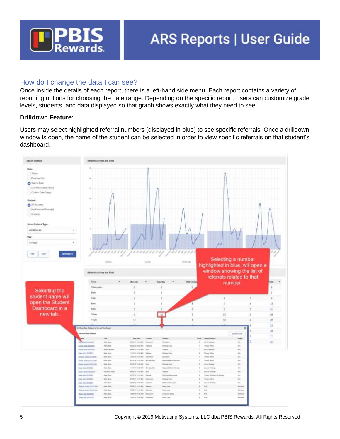

### <span id="page-4-0"></span>How do I change the data I can see?

Once inside the details of each report, there is a left-hand side menu. Each report contains a variety of reporting options for choosing the date range. Depending on the specific report, users can customize grade levels, students, and data displayed so that graph shows exactly what they need to see.

#### **Drilldown Feature**:

Users may select highlighted referral numbers (displayed in blue) to see specific referrals. Once a drilldown window is open, the name of the student can be selected in order to view specific referrals on that student's dashboard.

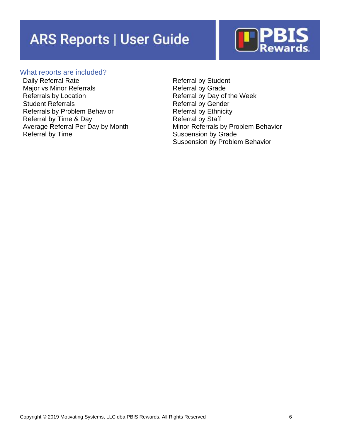

#### <span id="page-5-0"></span>What reports are included?

Daily Referral Rate Major vs Minor Referrals Referrals by Location Student Referrals Referrals by Problem Behavior Referral by Time & Day Average Referral Per Day by Month Referral by Time

Referral by Student Referral by Grade Referral by Day of the Week Referral by Gender Referral by Ethnicity Referral by Staff Minor Referrals by Problem Behavior Suspension by Grade Suspension by Problem Behavior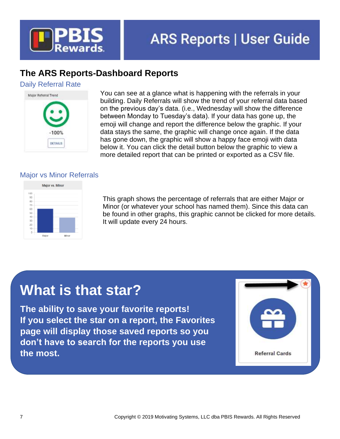

# <span id="page-6-0"></span>**The ARS Reports-Dashboard Reports**

### <span id="page-6-1"></span>Daily Referral Rate



You can see at a glance what is happening with the referrals in your building. Daily Referrals will show the trend of your referral data based on the previous day's data. (i.e., Wednesday will show the difference between Monday to Tuesday's data). If your data has gone up, the emoji will change and report the difference below the graphic. If your data stays the same, the graphic will change once again. If the data has gone down, the graphic will show a happy face emoji with data below it. You can click the detail button below the graphic to view a more detailed report that can be printed or exported as a CSV file.

# <span id="page-6-2"></span>Major vs Minor Referrals



This graph shows the percentage of referrals that are either Major or Minor (or whatever your school has named them). Since this data can be found in other graphs, this graphic cannot be clicked for more details. It will update every 24 hours.

# **What is that star?**

**The ability to save your favorite reports! If you select the star on a report, the Favorites page will display those saved reports so you don't have to search for the reports you use the most.**

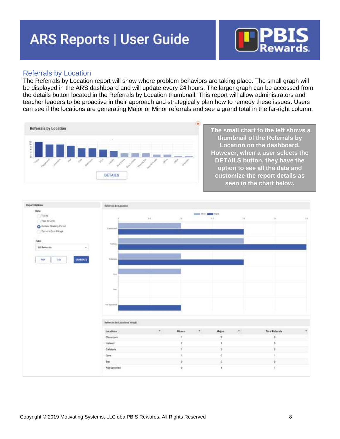

#### <span id="page-7-0"></span>Referrals by Location

The Referrals by Location report will show where problem behaviors are taking place. The small graph will be displayed in the ARS dashboard and will update every 24 hours. The larger graph can be accessed from the details button located in the Referrals by Location thumbnail. This report will allow administrators and teacher leaders to be proactive in their approach and strategically plan how to remedy these issues. Users can see if the locations are generating Major or Minor referrals and see a grand total in the far-right column.



**The small chart to the left shows a thumbnail of the Referrals by Location on the dashboard. However, when a user selects the DETAILS button, they have the option to see all the data and customize the report details as seen in the chart below.**

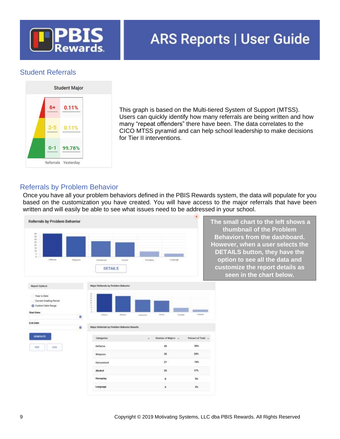

### <span id="page-8-0"></span>Student Referrals



This graph is based on the Multi-tiered System of Support (MTSS). Users can quickly identify how many referrals are being written and how many "repeat offenders" there have been. The data correlates to the CICO MTSS pyramid and can help school leadership to make decisions for Tier II interventions.

### <span id="page-8-1"></span>Referrals by Problem Behavior

Once you have all your problem behaviors defined in the PBIS Rewards system, the data will populate for you based on the customization you have created. You will have access to the major referrals that have been written and will easily be able to see what issues need to be addressed in your school.

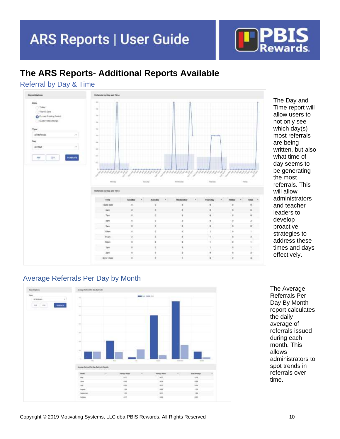

# <span id="page-9-0"></span>**The ARS Reports- Additional Reports Available**

### <span id="page-9-1"></span>Referral by Day & Time



The Day and Time report will allow users to not only see which day(s) most referrals are being written, but also what time of day seems to be generating the most referrals. This will allow administrators and teacher leaders to develop proactive strategies to address these times and days effectively.

### <span id="page-9-2"></span>Average Referrals Per Day by Month



The Average Referrals Per Day By Month report calculates the daily average of referrals issued during each month. This allows administrators to spot trends in referrals over time.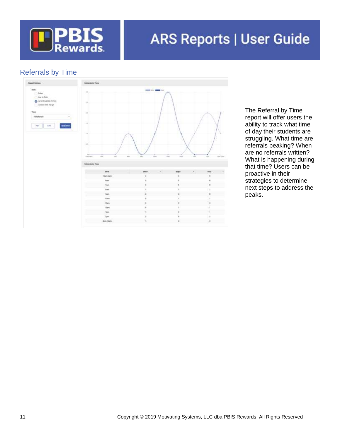

# <span id="page-10-0"></span>Referrals by Time



The Referral by Time report will offer users the ability to track what time of day their students are struggling. What time are referrals peaking? When are no referrals written? What is happening during that time? Users can be proactive in their strategies to determine next steps to address the peaks.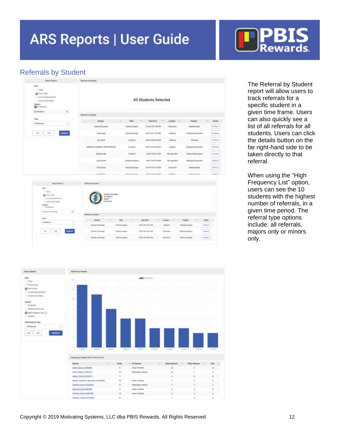

### <span id="page-11-0"></span>Referrals by Student

| <b>Beech Defens</b>                                                                                                 | <b>Bellemain By Student</b>                                |                                        |                          |                          |                                          |               |  |  |  |
|---------------------------------------------------------------------------------------------------------------------|------------------------------------------------------------|----------------------------------------|--------------------------|--------------------------|------------------------------------------|---------------|--|--|--|
| $100 +$<br>Tokey<br>O hara (sec)<br>C: Genet Euro y Panal<br>* Custom State Away<br>Mothert<br><b>EX AUTOMOBILE</b> | All Students Selected                                      |                                        |                          |                          |                                          |               |  |  |  |
| $a_{\rm i}$<br>All Halwell                                                                                          |                                                            |                                        |                          |                          |                                          |               |  |  |  |
|                                                                                                                     | Networks by Student                                        |                                        |                          |                          |                                          |               |  |  |  |
| <b>Type:</b>                                                                                                        | $\alpha$<br>Student                                        | test<br>$\sim$                         | <b>Britt</b> Time        | London : "               | <b>Partisiph</b><br>$\alpha$             | <b>Tehler</b> |  |  |  |
| $+1$<br>All Helseyin                                                                                                | <b>Basma Alcoints</b>                                      | Victorial Langues                      | RESERVAN HARMA           | lisioner.                | <b>Russian Green</b>                     | <b>INFORM</b> |  |  |  |
| <b>GOODATE</b><br>118<br>$-1$                                                                                       | <b>Stress Open</b>                                         | Arbum Elephonique                      | <b>RETURN 11.53 AM</b>   | Edinburg                 | <b><i>Bidghtg/Flatacettest</i></b>       | <b>DEMAR</b>  |  |  |  |
|                                                                                                                     | Ana touris                                                 | D-Stower                               | <b>JUNEUS BEZAPM</b>     | Calvieria                | <b>Cleveling</b>                         | <b>JENAA</b>  |  |  |  |
|                                                                                                                     | ADDITION CAMPBELL MOSTERWITTING                            | <b>D Green</b>                         | INVESTIGATION FRAU       | Hallway.                 | Building Harammont                       | <b>HEMAR</b>  |  |  |  |
|                                                                                                                     | <b>Bayles Gratto</b>                                       | <b>Virtue</b>                          | <b>HUM/19 BE13 PM</b>    | <b>Not Soccified</b>     | <b>Infunciol listenant!</b>              | <b>SENISE</b> |  |  |  |
|                                                                                                                     | Jacob Service                                              | Annahar keelayers                      | <b>18/01/19/01/04 AM</b> | <b>Not Speechall</b>     | <b>Bultima Haramani</b>                  | <b>HENAIR</b> |  |  |  |
|                                                                                                                     | <b>Timia Diem</b>                                          | Anne Summar:                           | INVESTIGATE              | <b>Usersex</b>           | <b>Balting Roler</b>                     | OETAAN.       |  |  |  |
|                                                                                                                     | Streets Filmers                                            | increase at all car.<br>Meksika Cammin |                          | <b>Fisimazio</b>         | <b>Engineer Braker</b>                   | <b>DEMARK</b> |  |  |  |
|                                                                                                                     |                                                            |                                        |                          |                          |                                          |               |  |  |  |
| <b>Read Server</b>                                                                                                  | <b>British &amp; Super</b>                                 |                                        |                          |                          |                                          |               |  |  |  |
| <b>Saw</b><br>$-3600$<br><b>Q</b> National<br>Gunst Goming Pennal<br>Automobile Rengo                               | <b>Assisin Converge</b><br><b>CHINES</b><br><b>Ball</b> 7. |                                        |                          |                          |                                          |               |  |  |  |
| <b>Illustrate</b><br>1 199 Ellurgence<br>$\sigma$<br>last to formula                                                | <b>Ikelerist: It thatut</b>                                |                                        |                          |                          |                                          |               |  |  |  |
| Topic                                                                                                               | <b>Suites</b><br>۰                                         | <b>Call Card</b><br><b>Said</b>        | <b>Bala</b> Time         | <b>License</b><br>$\sim$ | Frebhen<br><b>Belain</b>                 |               |  |  |  |
| ÷.<br>All Betterste.                                                                                                | Announce Committees                                        | Writeria Langhii:                      | 100320410031795          | <b>Tahlelia</b>          | <b>Stamming</b> fadeligi<br><b>MTHET</b> |               |  |  |  |

100314-0031794

The Referral by Student report will allow users to track referrals for a specific student in a given time frame. Users can also quickly see a list of all referrals for all students. Users can click the details button on the far right-hand side to be taken directly to that referral.

When using the "High Frequency List" option, users can see the 10 students with the highest number of referrals, in a given time period. The referral type options include: all referrals, majors only or minors only.

sence.

**Colombia toking** 

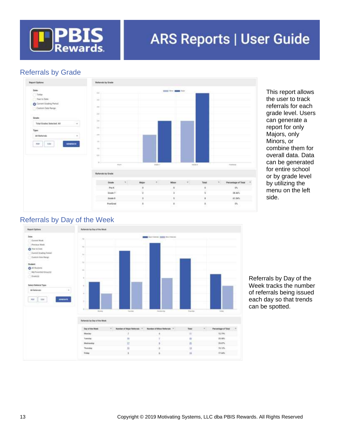

# <span id="page-12-0"></span>Referrals by Grade



This report allows the user to track referrals for each grade level. Users can generate a report for only Majors, only Minors, or combine them for overall data. Data can be generated for entire school or by grade level by utilizing the menu on the left side.

# <span id="page-12-1"></span>Referrals by Day of the Week



Referrals by Day of the Week tracks the number of referrals being issued each day so that trends can be spotted.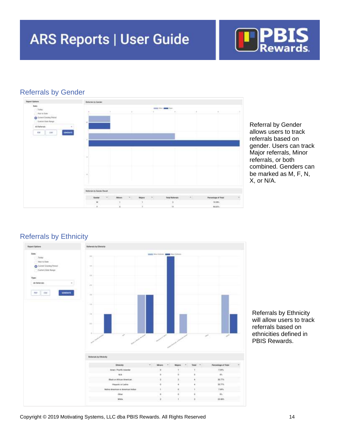

### <span id="page-13-0"></span>Referrals by Gender



Referral by Gender allows users to track referrals based on gender. Users can track Major referrals, Minor referrals, or both combined. Genders can be marked as M, F, N, X, or N/A.

### <span id="page-13-1"></span>Referrals by Ethnicity



Referrals by Ethnicity will allow users to track referrals based on ethnicities defined in PBIS Rewards.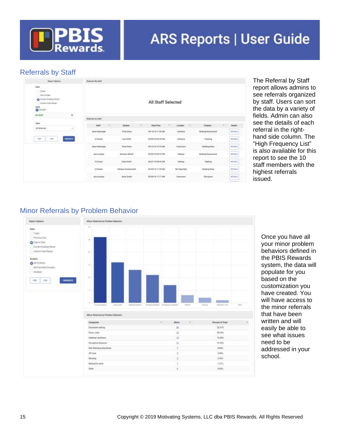

### <span id="page-14-0"></span>Referrals by Staff

| <b>Teamy Options</b>                                                                                                       | <b>Belongin By Frell</b>                 |                                         |                                                       |                                     |     |                                                  |                                        |
|----------------------------------------------------------------------------------------------------------------------------|------------------------------------------|-----------------------------------------|-------------------------------------------------------|-------------------------------------|-----|--------------------------------------------------|----------------------------------------|
| Baker.<br>Totay.<br>Four st Early<br><b>O</b> Current Steding Period<br>Carters Sale Hertun<br>Staft:<br><b>DE ASSAULT</b> |                                          |                                         | <b>All Staff Selected</b>                             |                                     |     |                                                  |                                        |
| $\theta$<br>All Staff                                                                                                      |                                          |                                         |                                                       |                                     |     |                                                  |                                        |
| <b>Type:</b>                                                                                                               | <b>Referrate by Start</b><br><b>June</b> | <b>Disclant</b>                         | <b>Bata/Time</b>                                      | Location:                           | $-$ | Protessi                                         | <b>Setubu</b>                          |
| At Referrets<br>۰                                                                                                          | Atun Fuyonger                            | Times Down                              | <b>BUTGTH TUGLAM</b><br>ひとうせつ チェット                    | Dalletter to:<br><b>MAYER 67</b>    |     | Submg/Notes bed                                  | 0395<br><b>SETAR-S</b><br><b>SALAR</b> |
| <b>LIDESATE</b><br>PRF<br>tim                                                                                              | D Gilmiai                                | Ave Svery                               | <b>JULIUS CLIFTS</b>                                  | Culteriorità                        |     | Chestral                                         | <b>SITAAS</b>                          |
|                                                                                                                            | <b>Artistical Frank</b><br>Adon Bayonger | <b>SIMMONY</b><br>Tiria Direct          | <b>PULLED A REPORT OF STATE</b><br>BILTISTE 10 11, AM | <b>HARRISON</b><br>(Garologi)       |     | and the state and state<br><b>Building Rules</b> | SETAA.5                                |
|                                                                                                                            | 11120111111<br>alon meddag.              | an and control<br><b>Riamies Alder!</b> | アンシャレント シャンストレント<br><b>IN/ZZ/18 ES 28 PM</b>          | <b>CARD COMPANY</b><br>Hallway      |     | actual and<br><b>Bullar &amp; Hasserseni</b>     | IETAA.S                                |
|                                                                                                                            | Ti Gi fesser<br><b>MACHOO</b>            | <b>Nata Switch</b><br>00 H 60 D         | BUTTITE SEXIEM<br>000 B 0 and 3000 B 1                | Hullway<br><b>MEDIUMON</b>          |     | Palmer<br>Control & Hills                        | <b>NTMAR</b><br>$-200$                 |
|                                                                                                                            | D Grienat                                | <b>Chrissa Hosterweith</b>              | <b>BUTAITS TEAR AM</b>                                | Met Spacified                       |     | <b>Dutching Rubbs</b>                            | <b>MTALS</b>                           |
|                                                                                                                            | an was to<br>phone immediately           | <b>STATISTICS</b><br>Abella Smith       | WHO'S E TENDERER<br><b>MATELITICAL</b>                | <b>COMPANY</b><br><b>Classicons</b> |     | <b>COURT IS</b><br>Disnator                      | --<br>DETAILS                          |

The Referral by Staff report allows admins to see referrals organized by staff. Users can sort the data by a variety of fields. Admin can also see the details of each referral in the righthand side column. The "High Frequency List" is also available for this report to see the 10 staff members with the highest referrals issued.

### <span id="page-14-1"></span>Minor Referrals by Problem Behavior



Once you have all your minor problem behaviors defined in the PBIS Rewards system, the data will populate for you based on the customization you have created. You will have access to the minor referrals that have been written and will easily be able to see what issues need to be addressed in your school.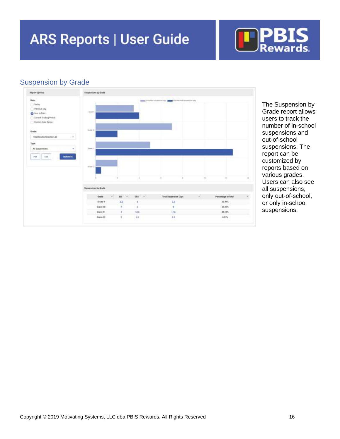

# <span id="page-15-0"></span>Suspension by Grade



The Suspension by Grade report allows users to track the number of in-school suspensions and out-of-school suspensions. The report can be customized by reports based on various grades. Users can also see all suspensions, only out-of-school, or only in-school suspensions.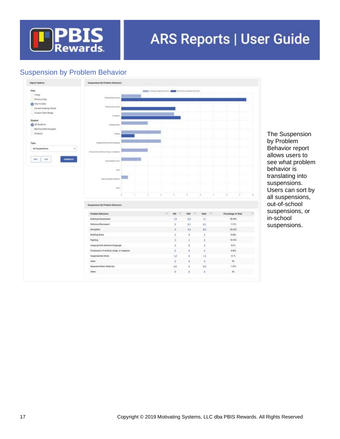

# <span id="page-16-0"></span>Suspension by Problem Behavior



The Suspension by Problem Behavior report allows users to see what problem behavior is translating into suspensions. Users can sort by all suspensions, out-of-school suspensions, or in-school suspensions.